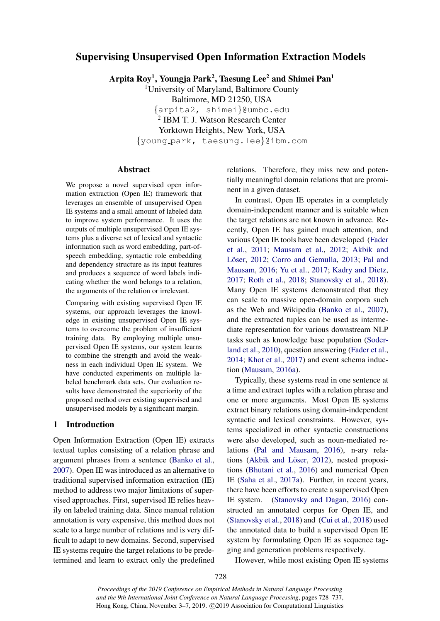# Supervising Unsupervised Open Information Extraction Models

Arpita Roy<sup>1</sup>, Youngja Park<sup>2</sup>, Taesung Lee<sup>2</sup> and Shimei Pan<sup>1</sup>

<sup>1</sup>University of Maryland, Baltimore County Baltimore, MD 21250, USA {arpita2, shimei}@umbc.edu 2 IBM T. J. Watson Research Center Yorktown Heights, New York, USA {young park, taesung.lee}@ibm.com

# Abstract

We propose a novel supervised open information extraction (Open IE) framework that leverages an ensemble of unsupervised Open IE systems and a small amount of labeled data to improve system performance. It uses the outputs of multiple unsupervised Open IE systems plus a diverse set of lexical and syntactic information such as word embedding, part-ofspeech embedding, syntactic role embedding and dependency structure as its input features and produces a sequence of word labels indicating whether the word belongs to a relation, the arguments of the relation or irrelevant.

Comparing with existing supervised Open IE systems, our approach leverages the knowledge in existing unsupervised Open IE systems to overcome the problem of insufficient training data. By employing multiple unsupervised Open IE systems, our system learns to combine the strength and avoid the weakness in each individual Open IE system. We have conducted experiments on multiple labeled benchmark data sets. Our evaluation results have demonstrated the superiority of the proposed method over existing supervised and unsupervised models by a significant margin.

## 1 Introduction

Open Information Extraction (Open IE) extracts textual tuples consisting of a relation phrase and argument phrases from a sentence [\(Banko et al.,](#page-8-0) [2007\)](#page-8-0). Open IE was introduced as an alternative to traditional supervised information extraction (IE) method to address two major limitations of supervised approaches. First, supervised IE relies heavily on labeled training data. Since manual relation annotation is very expensive, this method does not scale to a large number of relations and is very difficult to adapt to new domains. Second, supervised IE systems require the target relations to be predetermined and learn to extract only the predefined relations. Therefore, they miss new and potentially meaningful domain relations that are prominent in a given dataset.

In contrast, Open IE operates in a completely domain-independent manner and is suitable when the target relations are not known in advance. Recently, Open IE has gained much attention, and various Open IE tools have been developed [\(Fader](#page-8-1) [et al.,](#page-8-1) [2011;](#page-8-1) [Mausam et al.,](#page-8-2) [2012;](#page-8-2) [Akbik and](#page-7-0) Löser, [2012;](#page-7-0) [Corro and Gemulla,](#page-8-3) [2013;](#page-8-3) [Pal and](#page-8-4) [Mausam,](#page-8-4) [2016;](#page-8-4) [Yu et al.,](#page-9-0) [2017;](#page-9-0) [Kadry and Dietz,](#page-8-5) [2017;](#page-8-5) [Roth et al.,](#page-8-6) [2018;](#page-8-6) [Stanovsky et al.,](#page-9-1) [2018\)](#page-9-1). Many Open IE systems demonstrated that they can scale to massive open-domain corpora such as the Web and Wikipedia [\(Banko et al.,](#page-8-0) [2007\)](#page-8-0), and the extracted tuples can be used as intermediate representation for various downstream NLP tasks such as knowledge base population [\(Soder](#page-9-2)[land et al.,](#page-9-2) [2010\)](#page-9-2), question answering [\(Fader et al.,](#page-8-7) [2014;](#page-8-7) [Khot et al.,](#page-8-8) [2017\)](#page-8-8) and event schema induction [\(Mausam,](#page-8-9) [2016a\)](#page-8-9).

Typically, these systems read in one sentence at a time and extract tuples with a relation phrase and one or more arguments. Most Open IE systems extract binary relations using domain-independent syntactic and lexical constraints. However, systems specialized in other syntactic constructions were also developed, such as noun-mediated relations [\(Pal and Mausam,](#page-8-4) [2016\)](#page-8-4), n-ary rela-tions (Akbik and Löser, [2012\)](#page-7-0), nested propositions [\(Bhutani et al.,](#page-8-10) [2016\)](#page-8-10) and numerical Open IE [\(Saha et al.,](#page-8-11) [2017a\)](#page-8-11). Further, in recent years, there have been efforts to create a supervised Open IE system. [\(Stanovsky and Dagan,](#page-9-3) [2016\)](#page-9-3) constructed an annotated corpus for Open IE, and [\(Stanovsky et al.,](#page-9-1) [2018\)](#page-9-1) and [\(Cui et al.,](#page-8-12) [2018\)](#page-8-12) used the annotated data to build a supervised Open IE system by formulating Open IE as sequence tagging and generation problems respectively.

However, while most existing Open IE systems

*Proceedings of the 2019 Conference on Empirical Methods in Natural Language Processing and the 9th International Joint Conference on Natural Language Processing*, pages 728–737, Hong Kong, China, November 3–7, 2019. ©2019 Association for Computational Linguistics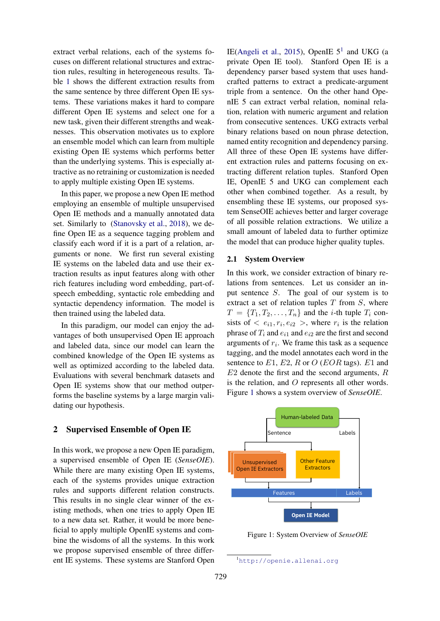extract verbal relations, each of the systems focuses on different relational structures and extraction rules, resulting in heterogeneous results. Table [1](#page-2-0) shows the different extraction results from the same sentence by three different Open IE systems. These variations makes it hard to compare different Open IE systems and select one for a new task, given their different strengths and weaknesses. This observation motivates us to explore an ensemble model which can learn from multiple existing Open IE systems which performs better than the underlying systems. This is especially attractive as no retraining or customization is needed to apply multiple existing Open IE systems.

In this paper, we propose a new Open IE method employing an ensemble of multiple unsupervised Open IE methods and a manually annotated data set. Similarly to [\(Stanovsky et al.,](#page-9-1) [2018\)](#page-9-1), we define Open IE as a sequence tagging problem and classify each word if it is a part of a relation, arguments or none. We first run several existing IE systems on the labeled data and use their extraction results as input features along with other rich features including word embedding, part-ofspeech embedding, syntactic role embedding and syntactic dependency information. The model is then trained using the labeled data.

In this paradigm, our model can enjoy the advantages of both unsupervised Open IE approach and labeled data, since our model can learn the combined knowledge of the Open IE systems as well as optimized according to the labeled data. Evaluations with several benchmark datasets and Open IE systems show that our method outperforms the baseline systems by a large margin validating our hypothesis.

## 2 Supervised Ensemble of Open IE

In this work, we propose a new Open IE paradigm, a supervised ensemble of Open IE (*SenseOIE*). While there are many existing Open IE systems, each of the systems provides unique extraction rules and supports different relation constructs. This results in no single clear winner of the existing methods, when one tries to apply Open IE to a new data set. Rather, it would be more beneficial to apply multiple OpenIE systems and combine the wisdoms of all the systems. In this work we propose supervised ensemble of three different IE systems. These systems are Stanford Open

IE[\(Angeli et al.,](#page-7-1) [2015\)](#page-7-1), OpenIE  $5^1$  $5^1$  and UKG (a private Open IE tool). Stanford Open IE is a dependency parser based system that uses handcrafted patterns to extract a predicate-argument triple from a sentence. On the other hand OpenIE 5 can extract verbal relation, nominal relation, relation with numeric argument and relation from consecutive sentences. UKG extracts verbal binary relations based on noun phrase detection, named entity recognition and dependency parsing. All three of these Open IE systems have different extraction rules and patterns focusing on extracting different relation tuples. Stanford Open IE, OpenIE 5 and UKG can complement each other when combined together. As a result, by ensembling these IE systems, our proposed system SenseOIE achieves better and larger coverage of all possible relation extractions. We utilize a small amount of labeled data to further optimize the model that can produce higher quality tuples.

## 2.1 System Overview

In this work, we consider extraction of binary relations from sentences. Let us consider an input sentence S. The goal of our system is to extract a set of relation tuples  $T$  from  $S$ , where  $T = \{T_1, T_2, \ldots, T_n\}$  and the *i*-th tuple  $T_i$  consists of  $\langle e_{i1}, r_i, e_{i2} \rangle$ , where  $r_i$  is the relation phrase of  $T_i$  and  $e_{i1}$  and  $e_{i2}$  are the first and second arguments of  $r_i$ . We frame this task as a sequence tagging, and the model annotates each word in the sentence to  $E1$ ,  $E2$ , R or O (EOR tags). E1 and  $E2$  denote the first and the second arguments,  $R$ is the relation, and O represents all other words. Figure [1](#page-1-1) shows a system overview of *SenseOIE*.

<span id="page-1-1"></span>

Figure 1: System Overview of *SenseOIE*

<span id="page-1-0"></span><sup>1</sup><http://openie.allenai.org>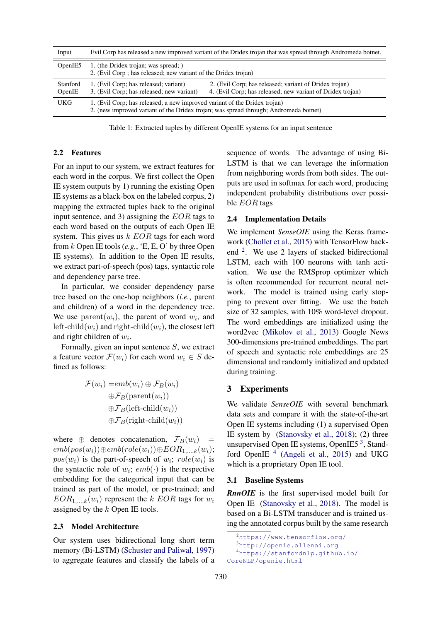<span id="page-2-0"></span>

| Input              | Evil Corp has released a new improved variant of the Dridex trojan that was spread through Andromeda botnet.                                                      |                                                                                                                      |  |
|--------------------|-------------------------------------------------------------------------------------------------------------------------------------------------------------------|----------------------------------------------------------------------------------------------------------------------|--|
| OpenIE5            | 1. (the Dridex trojan; was spread; )<br>2. (Evil Corp ; has released; new variant of the Dridex trojan)                                                           |                                                                                                                      |  |
| Stanford<br>OpenIE | 1. (Evil Corp; has released; variant)<br>3. (Evil Corp; has released; new variant)                                                                                | 2. (Evil Corp; has released; variant of Dridex trojan)<br>4. (Evil Corp; has released; new variant of Dridex trojan) |  |
| <b>UKG</b>         | 1. (Evil Corp; has released; a new improved variant of the Dridex trojan)<br>2. (new improved variant of the Dridex trojan; was spread through; Andromeda botnet) |                                                                                                                      |  |

Table 1: Extracted tuples by different OpenIE systems for an input sentence

#### <span id="page-2-4"></span>2.2 Features

For an input to our system, we extract features for each word in the corpus. We first collect the Open IE system outputs by 1) running the existing Open IE systems as a black-box on the labeled corpus, 2) mapping the extracted tuples back to the original input sentence, and 3) assigning the  $EOR$  tags to each word based on the outputs of each Open IE system. This gives us  $k$  EOR tags for each word from k Open IE tools (*e.g.*, 'E, E, O' by three Open IE systems). In addition to the Open IE results, we extract part-of-speech (pos) tags, syntactic role and dependency parse tree.

In particular, we consider dependency parse tree based on the one-hop neighbors (*i.e.*, parent and children) of a word in the dependency tree. We use  $\text{parent}(w_i)$ , the parent of word  $w_i$ , and left-child $(w_i)$  and right-child $(w_i)$ , the closest left and right children of  $w_i$ .

Formally, given an input sentence  $S$ , we extract a feature vector  $\mathcal{F}(w_i)$  for each word  $w_i \in S$  defined as follows:

$$
\mathcal{F}(w_i) = emb(w_i) \oplus \mathcal{F}_B(w_i)
$$

$$
\oplus \mathcal{F}_B(\text{parent}(w_i))
$$

$$
\oplus \mathcal{F}_B(\text{left-child}(w_i))
$$

$$
\oplus \mathcal{F}_B(\text{right-child}(w_i))
$$

where  $\oplus$  denotes concatenation,  $\mathcal{F}_B(w_i)$  =  $emb(pos(w_i)) ⊕emb(role(w_i)) ⊕ EOR_{1,...,k}(w_i);$  $pos(w_i)$  is the part-of-speech of  $w_i$ ;  $role(w_i)$  is the syntactic role of  $w_i$ ;  $emb(\cdot)$  is the respective embedding for the categorical input that can be trained as part of the model, or pre-trained; and  $EOR_{1,\ldots,k}(w_i)$  represent the k EOR tags for  $w_i$ assigned by the k Open IE tools.

#### 2.3 Model Architecture

Our system uses bidirectional long short term memory (Bi-LSTM) [\(Schuster and Paliwal,](#page-9-4) [1997\)](#page-9-4) to aggregate features and classify the labels of a

sequence of words. The advantage of using Bi-LSTM is that we can leverage the information from neighboring words from both sides. The outputs are used in softmax for each word, producing independent probability distributions over possible *EOR* tags

#### 2.4 Implementation Details

We implement *SenseOIE* using the Keras framework [\(Chollet et al.,](#page-8-13) [2015\)](#page-8-13) with TensorFlow back-end <sup>[2](#page-2-1)</sup>. We use 2 layers of stacked bidirectional LSTM, each with 100 neurons with tanh activation. We use the RMSprop optimizer which is often recommended for recurrent neural network. The model is trained using early stopping to prevent over fitting. We use the batch size of 32 samples, with 10% word-level dropout. The word embeddings are initialized using the word2vec [\(Mikolov et al.,](#page-8-14) [2013\)](#page-8-14) Google News 300-dimensions pre-trained embeddings. The part of speech and syntactic role embeddings are 25 dimensional and randomly initialized and updated during training.

## 3 Experiments

We validate *SenseOIE* with several benchmark data sets and compare it with the state-of-the-art Open IE systems including (1) a supervised Open IE system by [\(Stanovsky et al.,](#page-9-1) [2018\)](#page-9-1); (2) three unsupervised Open IE systems, OpenIE5<sup>[3](#page-2-2)</sup>, Stand-ford OpenIE<sup>[4](#page-2-3)</sup> [\(Angeli et al.,](#page-7-1) [2015\)](#page-7-1) and UKG which is a proprietary Open IE tool.

## <span id="page-2-5"></span>3.1 Baseline Systems

*RnnOIE* is the first supervised model built for Open IE [\(Stanovsky et al.,](#page-9-1) [2018\)](#page-9-1). The model is based on a Bi-LSTM transducer and is trained using the annotated corpus built by the same research

<span id="page-2-3"></span><span id="page-2-2"></span><span id="page-2-1"></span><sup>2</sup><https://www.tensorflow.org/> <sup>3</sup><http://openie.allenai.org> <sup>4</sup>[https://stanfordnlp.github.io/](https://stanfordnlp.github.io/CoreNLP/openie.html) [CoreNLP/openie.html](https://stanfordnlp.github.io/CoreNLP/openie.html)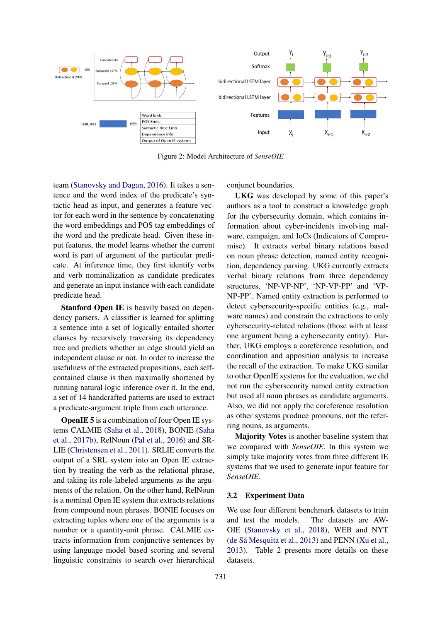

Figure 2: Model Architecture of *SenseOIE*

team [\(Stanovsky and Dagan,](#page-9-3) [2016\)](#page-9-3). It takes a sentence and the word index of the predicate's syntactic head as input, and generates a feature vector for each word in the sentence by concatenating the word embeddings and POS tag embeddings of the word and the predicate head. Given these input features, the model learns whether the current word is part of argument of the particular predicate. At inference time, they first identify verbs and verb nominalization as candidate predicates and generate an input instance with each candidate predicate head.

Stanford Open IE is heavily based on dependency parsers. A classifier is learned for splitting a sentence into a set of logically entailed shorter clauses by recursively traversing its dependency tree and predicts whether an edge should yield an independent clause or not. In order to increase the usefulness of the extracted propositions, each selfcontained clause is then maximally shortened by running natural logic inference over it. In the end, a set of 14 handcrafted patterns are used to extract a predicate-argument triple from each utterance.

OpenIE 5 is a combination of four Open IE systems CALMIE [\(Saha et al.,](#page-9-5) [2018\)](#page-9-5), BONIE [\(Saha](#page-8-15) [et al.,](#page-8-15) [2017b\)](#page-8-15), RelNoun [\(Pal et al.,](#page-8-16) [2016\)](#page-8-16) and SR-LIE [\(Christensen et al.,](#page-8-17) [2011\)](#page-8-17). SRLIE converts the output of a SRL system into an Open IE extraction by treating the verb as the relational phrase, and taking its role-labeled arguments as the arguments of the relation. On the other hand, RelNoun is a nominal Open IE system that extracts relations from compound noun phrases. BONIE focuses on extracting tuples where one of the arguments is a number or a quantity-unit phrase. CALMIE extracts information from conjunctive sentences by using language model based scoring and several linguistic constraints to search over hierarchical

conjunct boundaries.

UKG was developed by some of this paper's authors as a tool to construct a knowledge graph for the cybersecurity domain, which contains information about cyber-incidents involving malware, campaign, and IoCs (Indicators of Compromise). It extracts verbal binary relations based on noun phrase detection, named entity recognition, dependency parsing. UKG currently extracts verbal binary relations from three dependency structures, 'NP-VP-NP', 'NP-VP-PP' and 'VP-NP-PP'. Named entity extraction is performed to detect cybersecurity-specific entities (e.g., malware names) and constrain the extractions to only cybersecurity-related relations (those with at least one argument being a cybersecurity entity). Further, UKG employs a coreference resolution, and coordination and apposition analysis to increase the recall of the extraction. To make UKG similar to other OpenIE systems for the evaluation, we did not run the cybersecurity named entity extraction but used all noun phrases as candidate arguments. Also, we did not apply the coreference resolution as other systems produce pronouns, not the referring nouns, as arguments.

Majority Votes is another baseline system that we compared with *SenseOIE*. In this system we simply take majority votes from three different IE systems that we used to generate input feature for *SenseOIE*.

# 3.2 Experiment Data

We use four different benchmark datasets to train and test the models. The datasets are AW-OIE [\(Stanovsky et al.,](#page-9-1) [2018\)](#page-9-1), WEB and NYT (de Sá Mesquita et al.,  $2013$ ) and PENN [\(Xu et al.,](#page-9-6) [2013\)](#page-9-6). Table [2](#page-4-0) presents more details on these datasets.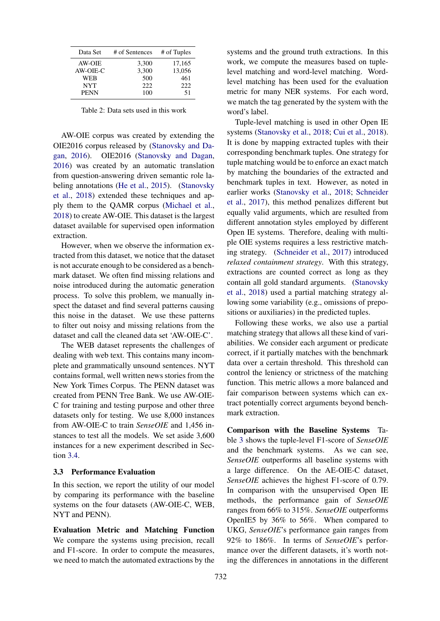<span id="page-4-0"></span>

| Data Set      | # of Sentences | # of Tuples |  |
|---------------|----------------|-------------|--|
| <b>AW-OIE</b> | 3,300          | 17,165      |  |
| AW-OIE-C      | 3,300          | 13,056      |  |
| WEB           | 500            | 461         |  |
| <b>NYT</b>    | 222            | 222         |  |
| <b>PENN</b>   | 100            | 51          |  |

Table 2: Data sets used in this work

AW-OIE corpus was created by extending the OIE2016 corpus released by [\(Stanovsky and Da](#page-9-3)[gan,](#page-9-3) [2016\)](#page-9-3). OIE2016 [\(Stanovsky and Dagan,](#page-9-3) [2016\)](#page-9-3) was created by an automatic translation from question-answering driven semantic role labeling annotations [\(He et al.,](#page-8-19) [2015\)](#page-8-19). [\(Stanovsky](#page-9-1) [et al.,](#page-9-1) [2018\)](#page-9-1) extended these techniques and apply them to the QAMR corpus [\(Michael et al.,](#page-8-20) [2018\)](#page-8-20) to create AW-OIE. This dataset is the largest dataset available for supervised open information extraction.

However, when we observe the information extracted from this dataset, we notice that the dataset is not accurate enough to be considered as a benchmark dataset. We often find missing relations and noise introduced during the automatic generation process. To solve this problem, we manually inspect the dataset and find several patterns causing this noise in the dataset. We use these patterns to filter out noisy and missing relations from the dataset and call the cleaned data set 'AW-OIE-C'.

The WEB dataset represents the challenges of dealing with web text. This contains many incomplete and grammatically unsound sentences. NYT contains formal, well written news stories from the New York Times Corpus. The PENN dataset was created from PENN Tree Bank. We use AW-OIE-C for training and testing purpose and other three datasets only for testing. We use 8,000 instances from AW-OIE-C to train *SenseOIE* and 1,456 instances to test all the models. We set aside 3,600 instances for a new experiment described in Section [3.4.](#page-6-0)

## 3.3 Performance Evaluation

In this section, we report the utility of our model by comparing its performance with the baseline systems on the four datasets (AW-OIE-C, WEB, NYT and PENN).

Evaluation Metric and Matching Function We compare the systems using precision, recall and F1-score. In order to compute the measures, we need to match the automated extractions by the systems and the ground truth extractions. In this work, we compute the measures based on tuplelevel matching and word-level matching. Wordlevel matching has been used for the evaluation metric for many NER systems. For each word, we match the tag generated by the system with the word's label.

Tuple-level matching is used in other Open IE systems [\(Stanovsky et al.,](#page-9-1) [2018;](#page-9-1) [Cui et al.,](#page-8-12) [2018\)](#page-8-12). It is done by mapping extracted tuples with their corresponding benchmark tuples. One strategy for tuple matching would be to enforce an exact match by matching the boundaries of the extracted and benchmark tuples in text. However, as noted in earlier works [\(Stanovsky et al.,](#page-9-1) [2018;](#page-9-1) [Schneider](#page-9-7) [et al.,](#page-9-7) [2017\)](#page-9-7), this method penalizes different but equally valid arguments, which are resulted from different annotation styles employed by different Open IE systems. Therefore, dealing with multiple OIE systems requires a less restrictive matching strategy. [\(Schneider et al.,](#page-9-7) [2017\)](#page-9-7) introduced *relaxed containment strategy*. With this strategy, extractions are counted correct as long as they contain all gold standard arguments. [\(Stanovsky](#page-9-1) [et al.,](#page-9-1) [2018\)](#page-9-1) used a partial matching strategy allowing some variability (e.g., omissions of prepositions or auxiliaries) in the predicted tuples.

Following these works, we also use a partial matching strategy that allows all these kind of variabilities. We consider each argument or predicate correct, if it partially matches with the benchmark data over a certain threshold. This threshold can control the leniency or strictness of the matching function. This metric allows a more balanced and fair comparison between systems which can extract potentially correct arguments beyond benchmark extraction.

Comparison with the Baseline Systems Table [3](#page-5-0) shows the tuple-level F1-score of *SenseOIE* and the benchmark systems. As we can see, *SenseOIE* outperforms all baseline systems with a large difference. On the AE-OIE-C dataset, *SenseOIE* achieves the highest F1-score of 0.79. In comparison with the unsupervised Open IE methods, the performance gain of *SenseOIE* ranges from 66% to 315%. *SenseOIE* outperforms OpenIE5 by 36% to 56%. When compared to UKG, *SenseOIE*'s performance gain ranges from 92% to 186%. In terms of *SenseOIE*'s performance over the different datasets, it's worth noting the differences in annotations in the different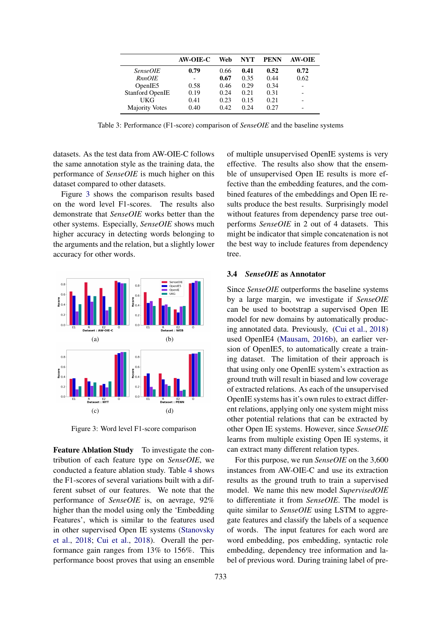<span id="page-5-0"></span>

|                        | AW-OIE-C | Web  | NYT  | <b>PENN</b> | <b>AW-OIE</b> |
|------------------------|----------|------|------|-------------|---------------|
| <i>SenseOIE</i>        | 0.79     | 0.66 | 0.41 | 0.52        | 0.72          |
| <i>RnnOIE</i>          | -        | 0.67 | 0.35 | 0.44        | 0.62          |
| OpenIE5                | 0.58     | 0.46 | 0.29 | 0.34        |               |
| <b>Stanford OpenIE</b> | 0.19     | 0.24 | 0.21 | 0.31        |               |
| UKG                    | 0.41     | 0.23 | 0.15 | 0.21        |               |
| <b>Majority Votes</b>  | 0.40     | 0.42 | 0.24 | 0.27        |               |

Table 3: Performance (F1-score) comparison of *SenseOIE* and the baseline systems

datasets. As the test data from AW-OIE-C follows the same annotation style as the training data, the performance of *SenseOIE* is much higher on this dataset compared to other datasets.

Figure [3](#page-5-1) shows the comparison results based on the word level F1-scores. The results also demonstrate that *SenseOIE* works better than the other systems. Especially, *SenseOIE* shows much higher accuracy in detecting words belonging to the arguments and the relation, but a slightly lower accuracy for other words.

<span id="page-5-1"></span>

Figure 3: Word level F1-score comparison

Feature Ablation Study To investigate the contribution of each feature type on *SenseOIE*, we conducted a feature ablation study. Table [4](#page-6-1) shows the F1-scores of several variations built with a different subset of our features. We note that the performance of *SenseOIE* is, on aevrage, 92% higher than the model using only the 'Embedding Features', which is similar to the features used in other supervised Open IE systems [\(Stanovsky](#page-9-1) [et al.,](#page-9-1) [2018;](#page-9-1) [Cui et al.,](#page-8-12) [2018\)](#page-8-12). Overall the performance gain ranges from 13% to 156%. This performance boost proves that using an ensemble of multiple unsupervised OpenIE systems is very effective. The results also show that the ensemble of unsupervised Open IE results is more effective than the embedding features, and the combined features of the embeddings and Open IE results produce the best results. Surprisingly model without features from dependency parse tree outperforms *SenseOIE* in 2 out of 4 datasets. This might be indicator that simple concatenation is not the best way to include features from dependency tree.

## 3.4 *SenseOIE* as Annotator

Since *SenseOIE* outperforms the baseline systems by a large margin, we investigate if *SenseOIE* can be used to bootstrap a supervised Open IE model for new domains by automatically producing annotated data. Previously, [\(Cui et al.,](#page-8-12) [2018\)](#page-8-12) used OpenIE4 [\(Mausam,](#page-8-21) [2016b\)](#page-8-21), an earlier version of OpenIE5, to automatically create a training dataset. The limitation of their approach is that using only one OpenIE system's extraction as ground truth will result in biased and low coverage of extracted relations. As each of the unsupervised OpenIE systems has it's own rules to extract different relations, applying only one system might miss other potential relations that can be extracted by other Open IE systems. However, since *SenseOIE* learns from multiple existing Open IE systems, it can extract many different relation types.

For this purpose, we run *SenseOIE* on the 3,600 instances from AW-OIE-C and use its extraction results as the ground truth to train a supervised model. We name this new model *SupervisedOIE* to differentiate it from *SenseOIE*. The model is quite similar to *SenseOIE* using LSTM to aggregate features and classify the labels of a sequence of words. The input features for each word are word embedding, pos embedding, syntactic role embedding, dependency tree information and label of previous word. During training label of pre-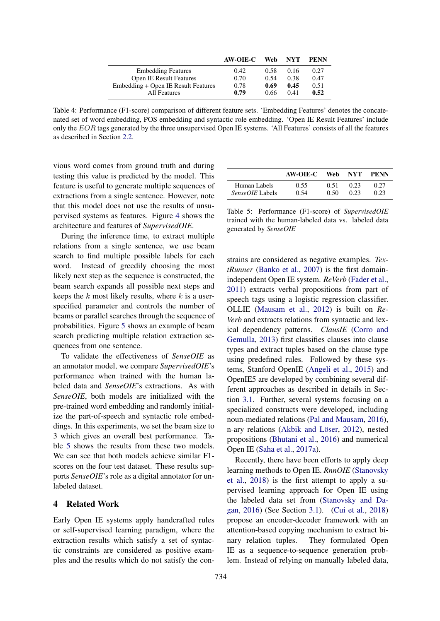<span id="page-6-1"></span>

|                                     | AW-OIE-C | Web  | <b>NYT</b> | PENN |
|-------------------------------------|----------|------|------------|------|
| <b>Embedding Features</b>           | 0.42     | 0.58 | 0.16       | 0.27 |
| <b>Open IE Result Features</b>      | 0.70     | 0.54 | 0.38       | 0.47 |
| Embedding + Open IE Result Features | 0.78     | 0.69 | 0.45       | 0.51 |
| <b>All Features</b>                 | 0.79     | 0.66 | 0.41       | 0.52 |

Table 4: Performance (F1-score) comparison of different feature sets. 'Embedding Features' denotes the concatenated set of word embedding, POS embedding and syntactic role embedding. 'Open IE Result Features' include only the  $EOR$  tags generated by the three unsupervised Open IE systems. 'All Features' consists of all the features as described in Section [2.2.](#page-2-4)

vious word comes from ground truth and during testing this value is predicted by the model. This feature is useful to generate multiple sequences of extractions from a single sentence. However, note that this model does not use the results of unsupervised systems as features. Figure [4](#page-7-2) shows the architecture and features of *SupervisedOIE*.

During the inference time, to extract multiple relations from a single sentence, we use beam search to find multiple possible labels for each word. Instead of greedily choosing the most likely next step as the sequence is constructed, the beam search expands all possible next steps and keeps the  $k$  most likely results, where  $k$  is a userspecified parameter and controls the number of beams or parallel searches through the sequence of probabilities. Figure [5](#page-7-3) shows an example of beam search predicting multiple relation extraction sequences from one sentence.

To validate the effectiveness of *SenseOIE* as an annotator model, we compare *SupervisedOIE*'s performance when trained with the human labeled data and *SenseOIE*'s extractions. As with *SenseOIE*, both models are initialized with the pre-trained word embedding and randomly initialize the part-of-speech and syntactic role embeddings. In this experiments, we set the beam size to 3 which gives an overall best performance. Table [5](#page-6-0) shows the results from these two models. We can see that both models achieve similar F1 scores on the four test dataset. These results supports *SenseOIE*'s role as a digital annotator for unlabeled dataset.

# 4 Related Work

Early Open IE systems apply handcrafted rules or self-supervised learning paradigm, where the extraction results which satisfy a set of syntactic constraints are considered as positive examples and the results which do not satisfy the con-

<span id="page-6-0"></span>

|                        | AW-OIE-C | Web  | NYT. | PENN |
|------------------------|----------|------|------|------|
| Human Labels           | 0.55     | 0.51 | 0.23 | 0.27 |
| <i>SenseOIE</i> Labels | 0.54     | O 50 | 0.23 | 0.23 |

Table 5: Performance (F1-score) of *SupervisedOIE* trained with the human-labeled data vs. labeled data generated by *SenseOIE*

strains are considered as negative examples. *TextRunner* [\(Banko et al.,](#page-8-0) [2007\)](#page-8-0) is the first domainindependent Open IE system. *ReVerb* [\(Fader et al.,](#page-8-1) [2011\)](#page-8-1) extracts verbal propositions from part of speech tags using a logistic regression classifier. OLLIE [\(Mausam et al.,](#page-8-2) [2012\)](#page-8-2) is built on *Re-Verb* and extracts relations from syntactic and lexical dependency patterns. *ClausIE* [\(Corro and](#page-8-3) [Gemulla,](#page-8-3) [2013\)](#page-8-3) first classifies clauses into clause types and extract tuples based on the clause type using predefined rules. Followed by these systems, Stanford OpenIE [\(Angeli et al.,](#page-7-1) [2015\)](#page-7-1) and OpenIE5 are developed by combining several different approaches as described in details in Section [3.1.](#page-2-5) Further, several systems focusing on a specialized constructs were developed, including noun-mediated relations [\(Pal and Mausam,](#page-8-4) [2016\)](#page-8-4), n-ary relations (Akbik and Löser, [2012\)](#page-7-0), nested propositions [\(Bhutani et al.,](#page-8-10) [2016\)](#page-8-10) and numerical Open IE [\(Saha et al.,](#page-8-11) [2017a\)](#page-8-11).

Recently, there have been efforts to apply deep learning methods to Open IE. *RnnOIE* [\(Stanovsky](#page-9-1) [et al.,](#page-9-1) [2018\)](#page-9-1) is the first attempt to apply a supervised learning approach for Open IE using the labeled data set from [\(Stanovsky and Da](#page-9-3)[gan,](#page-9-3) [2016\)](#page-9-3) (See Section [3.1\)](#page-2-5). [\(Cui et al.,](#page-8-12) [2018\)](#page-8-12) propose an encoder-decoder framework with an attention-based copying mechanism to extract binary relation tuples. They formulated Open IE as a sequence-to-sequence generation problem. Instead of relying on manually labeled data,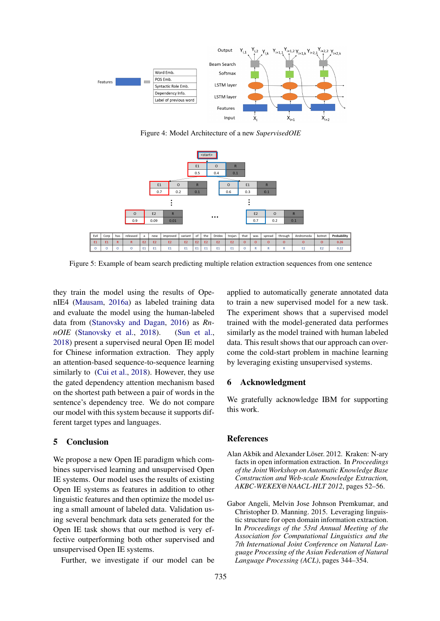<span id="page-7-2"></span>

Figure 4: Model Architecture of a new *SupervisedOIE*

<span id="page-7-3"></span>

Figure 5: Example of beam search predicting multiple relation extraction sequences from one sentence

they train the model using the results of OpenIE4 [\(Mausam,](#page-8-9) [2016a\)](#page-8-9) as labeled training data and evaluate the model using the human-labeled data from [\(Stanovsky and Dagan,](#page-9-3) [2016\)](#page-9-3) as *RnnOIE* [\(Stanovsky et al.,](#page-9-1) [2018\)](#page-9-1). [\(Sun et al.,](#page-9-8) [2018\)](#page-9-8) present a supervised neural Open IE model for Chinese information extraction. They apply an attention-based sequence-to-sequence learning similarly to [\(Cui et al.,](#page-8-12) [2018\)](#page-8-12). However, they use the gated dependency attention mechanism based on the shortest path between a pair of words in the sentence's dependency tree. We do not compare our model with this system because it supports different target types and languages.

## 5 Conclusion

We propose a new Open IE paradigm which combines supervised learning and unsupervised Open IE systems. Our model uses the results of existing Open IE systems as features in addition to other linguistic features and then optimize the model using a small amount of labeled data. Validation using several benchmark data sets generated for the Open IE task shows that our method is very effective outperforming both other supervised and unsupervised Open IE systems.

Further, we investigate if our model can be

applied to automatically generate annotated data to train a new supervised model for a new task. The experiment shows that a supervised model trained with the model-generated data performes similarly as the model trained with human labeled data. This result shows that our approach can overcome the cold-start problem in machine learning by leveraging existing unsupervised systems.

## 6 Acknowledgment

We gratefully acknowledge IBM for supporting this work.

## References

- <span id="page-7-0"></span>Alan Akbik and Alexander Löser. 2012. Kraken: N-ary facts in open information extraction. In *Proceedings of the Joint Workshop on Automatic Knowledge Base Construction and Web-scale Knowledge Extraction, AKBC-WEKEX@NAACL-HLT 2012*, pages 52–56.
- <span id="page-7-1"></span>Gabor Angeli, Melvin Jose Johnson Premkumar, and Christopher D. Manning. 2015. Leveraging linguistic structure for open domain information extraction. In *Proceedings of the 53rd Annual Meeting of the Association for Computational Linguistics and the 7th International Joint Conference on Natural Language Processing of the Asian Federation of Natural Language Processing (ACL)*, pages 344–354.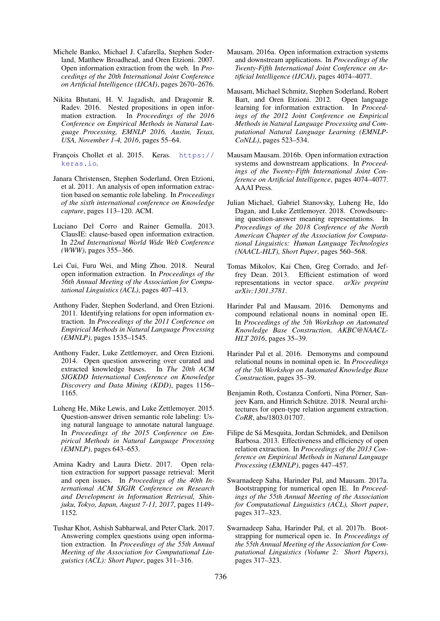- <span id="page-8-0"></span>Michele Banko, Michael J. Cafarella, Stephen Soderland, Matthew Broadhead, and Oren Etzioni. 2007. Open information extraction from the web. In *Proceedings of the 20th International Joint Conference on Artificial Intelligence (IJCAI)*, pages 2670–2676.
- <span id="page-8-10"></span>Nikita Bhutani, H. V. Jagadish, and Dragomir R. Radev. 2016. Nested propositions in open information extraction. In *Proceedings of the 2016 Conference on Empirical Methods in Natural Language Processing, EMNLP 2016, Austin, Texas, USA, November 1-4, 2016*, pages 55–64.
- <span id="page-8-13"></span>François Chollet et al. 2015. Keras. [https://](https://keras.io) [keras.io](https://keras.io).
- <span id="page-8-17"></span>Janara Christensen, Stephen Soderland, Oren Etzioni, et al. 2011. An analysis of open information extraction based on semantic role labeling. In *Proceedings of the sixth international conference on Knowledge capture*, pages 113–120. ACM.
- <span id="page-8-3"></span>Luciano Del Corro and Rainer Gemulla. 2013. ClausIE: clause-based open information extraction. In *22nd International World Wide Web Conference (WWW)*, pages 355–366.
- <span id="page-8-12"></span>Lei Cui, Furu Wei, and Ming Zhou. 2018. Neural open information extraction. In *Proceedings of the 56th Annual Meeting of the Association for Computational Linguistics (ACL)*, pages 407–413.
- <span id="page-8-1"></span>Anthony Fader, Stephen Soderland, and Oren Etzioni. 2011. Identifying relations for open information extraction. In *Proceedings of the 2011 Conference on Empirical Methods in Natural Language Processing (EMNLP)*, pages 1535–1545.
- <span id="page-8-7"></span>Anthony Fader, Luke Zettlemoyer, and Oren Etzioni. 2014. Open question answering over curated and extracted knowledge bases. In *The 20th ACM SIGKDD International Conference on Knowledge Discovery and Data Mining (KDD)*, pages 1156– 1165.
- <span id="page-8-19"></span>Luheng He, Mike Lewis, and Luke Zettlemoyer. 2015. Question-answer driven semantic role labeling: Using natural language to annotate natural language. In *Proceedings of the 2015 Conference on Empirical Methods in Natural Language Processing (EMNLP)*, pages 643–653.
- <span id="page-8-5"></span>Amina Kadry and Laura Dietz. 2017. Open relation extraction for support passage retrieval: Merit and open issues. In *Proceedings of the 40th International ACM SIGIR Conference on Research and Development in Information Retrieval, Shinjuku, Tokyo, Japan, August 7-11, 2017*, pages 1149– 1152.
- <span id="page-8-8"></span>Tushar Khot, Ashish Sabharwal, and Peter Clark. 2017. Answering complex questions using open information extraction. In *Proceedings of the 55th Annual Meeting of the Association for Computational Linguistics (ACL): Short Paper*, pages 311–316.
- <span id="page-8-9"></span>Mausam. 2016a. Open information extraction systems and downstream applications. In *Proceedings of the Twenty-Fifth International Joint Conference on Artificial Intelligence (IJCAI)*, pages 4074–4077.
- <span id="page-8-2"></span>Mausam, Michael Schmitz, Stephen Soderland, Robert Bart, and Oren Etzioni. 2012. Open language learning for information extraction. In *Proceedings of the 2012 Joint Conference on Empirical Methods in Natural Language Processing and Computational Natural Language Learning (EMNLP-CoNLL)*, pages 523–534.
- <span id="page-8-21"></span>Mausam Mausam. 2016b. Open information extraction systems and downstream applications. In *Proceedings of the Twenty-Fifth International Joint Conference on Artificial Intelligence*, pages 4074–4077. AAAI Press.
- <span id="page-8-20"></span>Julian Michael, Gabriel Stanovsky, Luheng He, Ido Dagan, and Luke Zettlemoyer. 2018. Crowdsourcing question-answer meaning representations. In *Proceedings of the 2018 Conference of the North American Chapter of the Association for Computational Linguistics: Human Language Technologies (NAACL-HLT), Short Paper*, pages 560–568.
- <span id="page-8-14"></span>Tomas Mikolov, Kai Chen, Greg Corrado, and Jeffrey Dean. 2013. Efficient estimation of word representations in vector space. *arXiv preprint arXiv:1301.3781*.
- <span id="page-8-4"></span>Harinder Pal and Mausam. 2016. Demonyms and compound relational nouns in nominal open IE. In *Proceedings of the 5th Workshop on Automated Knowledge Base Construction, AKBC@NAACL-HLT 2016*, pages 35–39.
- <span id="page-8-16"></span>Harinder Pal et al. 2016. Demonyms and compound relational nouns in nominal open ie. In *Proceedings of the 5th Workshop on Automated Knowledge Base Construction*, pages 35–39.
- <span id="page-8-6"></span>Benjamin Roth, Costanza Conforti, Nina Pörner, Sanjeev Karn, and Hinrich Schütze. 2018. Neural architectures for open-type relation argument extraction. *CoRR*, abs/1803.01707.
- <span id="page-8-18"></span>Filipe de Sá Mesquita, Jordan Schmidek, and Denilson Barbosa. 2013. Effectiveness and efficiency of open relation extraction. In *Proceedings of the 2013 Conference on Empirical Methods in Natural Language Processing (EMNLP)*, pages 447–457.
- <span id="page-8-11"></span>Swarnadeep Saha, Harinder Pal, and Mausam. 2017a. Bootstrapping for numerical open IE. In *Proceedings of the 55th Annual Meeting of the Association for Computational Linguistics (ACL), Short paper*, pages 317–323.
- <span id="page-8-15"></span>Swarnadeep Saha, Harinder Pal, et al. 2017b. Bootstrapping for numerical open ie. In *Proceedings of the 55th Annual Meeting of the Association for Computational Linguistics (Volume 2: Short Papers)*, pages 317–323.